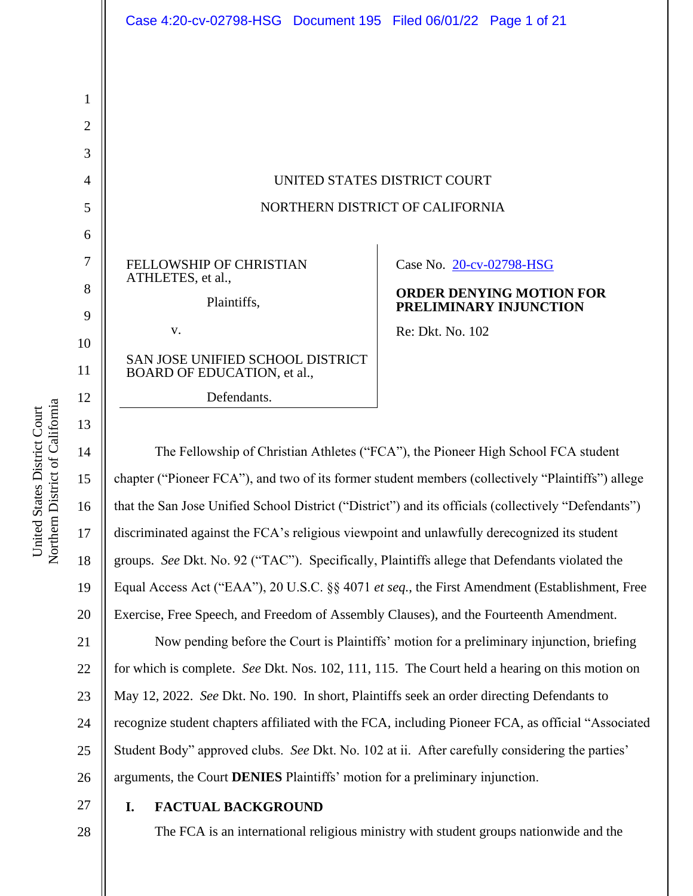| Case 4:20-cv-02798-HSG Document 195 Filed 06/01/22 Page 1 of 21 |  |                          |                                                           |
|-----------------------------------------------------------------|--|--------------------------|-----------------------------------------------------------|
|                                                                 |  |                          |                                                           |
|                                                                 |  |                          |                                                           |
|                                                                 |  |                          |                                                           |
|                                                                 |  |                          |                                                           |
| UNITED STATES DISTRICT COURT                                    |  |                          |                                                           |
| NORTHERN DISTRICT OF CALIFORNIA                                 |  |                          |                                                           |
|                                                                 |  |                          |                                                           |
| <b>FELLOWSHIP OF CHRISTIAN</b><br>ATHLETES, et al.,             |  | Case No. 20-cv-02798-HSG |                                                           |
| Plaintiffs,                                                     |  |                          | <b>ORDER DENYING MOTION FOR</b><br>PRELIMINARY INJUNCTION |
| V.                                                              |  | Re: Dkt. No. 102         |                                                           |
| SAN JOSE UNIFIED SCHOOL DISTRICT<br>BOARD OF EDUCATION, et al., |  |                          |                                                           |
| Defendants.                                                     |  |                          |                                                           |

14 15 16 17 18 19 20 21 22 23 24 25 The Fellowship of Christian Athletes ("FCA"), the Pioneer High School FCA student chapter ("Pioneer FCA"), and two of its former student members (collectively "Plaintiffs") allege that the San Jose Unified School District ("District") and its officials (collectively "Defendants") discriminated against the FCA's religious viewpoint and unlawfully derecognized its student groups. *See* Dkt. No. 92 ("TAC"). Specifically, Plaintiffs allege that Defendants violated the Equal Access Act ("EAA"), 20 U.S.C. §§ 4071 *et seq.*, the First Amendment (Establishment, Free Exercise, Free Speech, and Freedom of Assembly Clauses), and the Fourteenth Amendment. Now pending before the Court is Plaintiffs' motion for a preliminary injunction, briefing for which is complete. *See* Dkt. Nos. 102, 111, 115. The Court held a hearing on this motion on May 12, 2022. *See* Dkt. No. 190. In short, Plaintiffs seek an order directing Defendants to recognize student chapters affiliated with the FCA, including Pioneer FCA, as official "Associated Student Body" approved clubs. *See* Dkt. No. 102 at ii. After carefully considering the parties'

arguments, the Court **DENIES** Plaintiffs' motion for a preliminary injunction.

27 28

26

# **I. FACTUAL BACKGROUND**

The FCA is an international religious ministry with student groups nationwide and the

1

2

3

4

5

6

7

8

9

10

11

12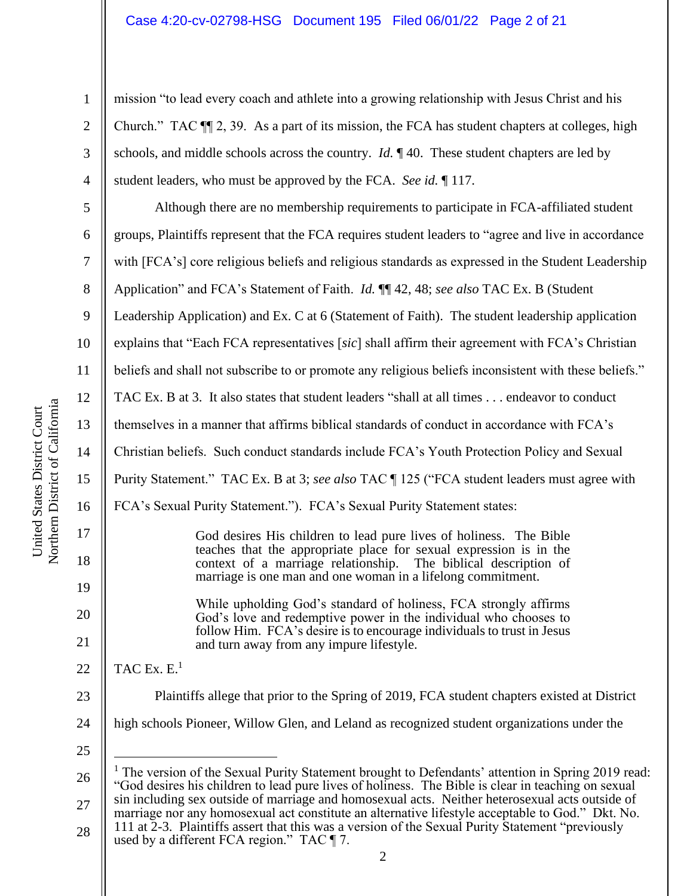mission "to lead every coach and athlete into a growing relationship with Jesus Christ and his Church." TAC  $\P$  2, 39. As a part of its mission, the FCA has student chapters at colleges, high schools, and middle schools across the country. *Id.* ¶ 40. These student chapters are led by student leaders, who must be approved by the FCA. *See id.* ¶ 117.

10 16 Although there are no membership requirements to participate in FCA-affiliated student groups, Plaintiffs represent that the FCA requires student leaders to "agree and live in accordance with [FCA's] core religious beliefs and religious standards as expressed in the Student Leadership Application" and FCA's Statement of Faith. *Id.* ¶¶ 42, 48; *see also* TAC Ex. B (Student Leadership Application) and Ex. C at 6 (Statement of Faith). The student leadership application explains that "Each FCA representatives [*sic*] shall affirm their agreement with FCA's Christian beliefs and shall not subscribe to or promote any religious beliefs inconsistent with these beliefs." TAC Ex. B at 3. It also states that student leaders "shall at all times . . . endeavor to conduct themselves in a manner that affirms biblical standards of conduct in accordance with FCA's Christian beliefs. Such conduct standards include FCA's Youth Protection Policy and Sexual Purity Statement." TAC Ex. B at 3; *see also* TAC ¶ 125 ("FCA student leaders must agree with FCA's Sexual Purity Statement."). FCA's Sexual Purity Statement states: God desires His children to lead pure lives of holiness. The Bible teaches that the appropriate place for sexual expression is in the context of a marriage relationship. marriage is one man and one woman in a lifelong commitment. While upholding God's standard of holiness, FCA strongly affirms God's love and redemptive power in the individual who chooses to follow Him. FCA's desire is to encourage individuals to trust in Jesus and turn away from any impure lifestyle.

22 TAC Ex.  $E<sup>1</sup>$ 

- Plaintiffs allege that prior to the Spring of 2019, FCA student chapters existed at District
- 24 high schools Pioneer, Willow Glen, and Leland as recognized student organizations under the
- 25

23

28 111 at 2-3. Plaintiffs assert that this was a version of the Sexual Purity Statement "previously used by a different FCA region." TAC  $\P$  7.

1

2

3

4

5

6

7

8

9

11

12

13

14

15

17

18

19

20

<sup>26</sup> 27  $1$  The version of the Sexual Purity Statement brought to Defendants' attention in Spring 2019 read: "God desires his children to lead pure lives of holiness. The Bible is clear in teaching on sexual sin including sex outside of marriage and homosexual acts. Neither heterosexual acts outside of marriage nor any homosexual act constitute an alternative lifestyle acceptable to God." Dkt. No.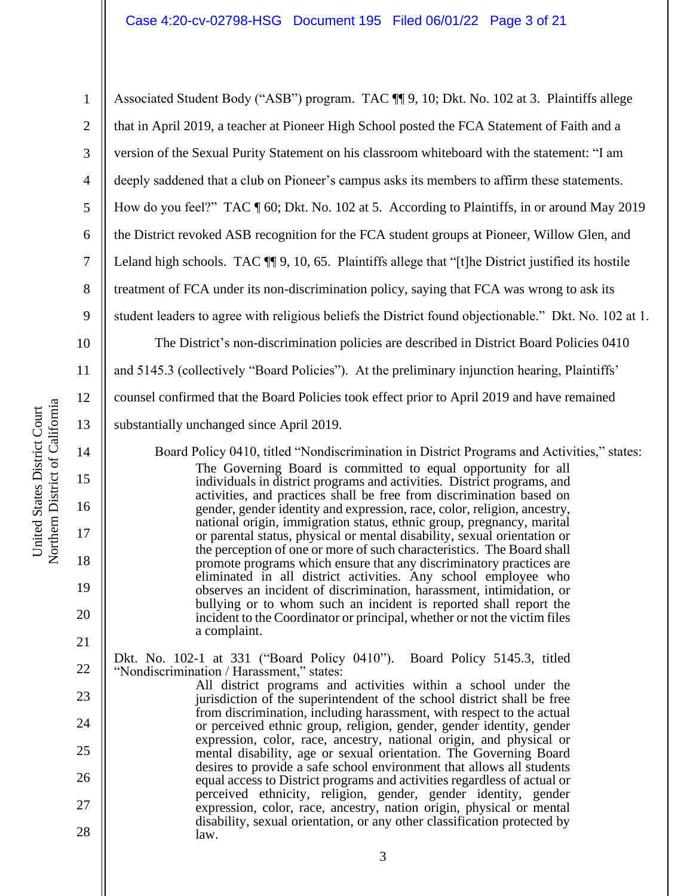1 2 3 4 5 6 7 8 9 10 11 Associated Student Body ("ASB") program. TAC ¶¶ 9, 10; Dkt. No. 102 at 3. Plaintiffs allege that in April 2019, a teacher at Pioneer High School posted the FCA Statement of Faith and a version of the Sexual Purity Statement on his classroom whiteboard with the statement: "I am deeply saddened that a club on Pioneer's campus asks its members to affirm these statements. How do you feel?" TAC ¶ 60; Dkt. No. 102 at 5. According to Plaintiffs, in or around May 2019 the District revoked ASB recognition for the FCA student groups at Pioneer, Willow Glen, and Leland high schools. TAC  $\P$  9, 10, 65. Plaintiffs allege that "[t]he District justified its hostile treatment of FCA under its non-discrimination policy, saying that FCA was wrong to ask its student leaders to agree with religious beliefs the District found objectionable." Dkt. No. 102 at 1. The District's non-discrimination policies are described in District Board Policies 0410 and 5145.3 (collectively "Board Policies"). At the preliminary injunction hearing, Plaintiffs'

12 counsel confirmed that the Board Policies took effect prior to April 2019 and have remained

substantially unchanged since April 2019.

Board Policy 0410, titled "Nondiscrimination in District Programs and Activities," states: The Governing Board is committed to equal opportunity for all individuals in district programs and activities. District programs, and activities, and practices shall be free from discrimination based on gender, gender identity and expression, race, color, religion, ancestry, national origin, immigration status, ethnic group, pregnancy, marital or parental status, physical or mental disability, sexual orientation or the perception of one or more of such characteristics. The Board shall promote programs which ensure that any discriminatory practices are eliminated in all district activities. Any school employee who observes an incident of discrimination, harassment, intimidation, or bullying or to whom such an incident is reported shall report the incident to the Coordinator or principal, whether or not the victim files a complaint.

Dkt. No. 102-1 at 331 ("Board Policy 0410"). Board Policy 5145.3, titled "Nondiscrimination / Harassment," states:

All district programs and activities within a school under the jurisdiction of the superintendent of the school district shall be free from discrimination, including harassment, with respect to the actual or perceived ethnic group, religion, gender, gender identity, gender expression, color, race, ancestry, national origin, and physical or mental disability, age or sexual orientation. The Governing Board desires to provide a safe school environment that allows all students equal access to District programs and activities regardless of actual or perceived ethnicity, religion, gender, gender identity, gender expression, color, race, ancestry, nation origin, physical or mental disability, sexual orientation, or any other classification protected by law.

13

14

15

16

17

18

19

20

21

22

23

24

25

26

27

28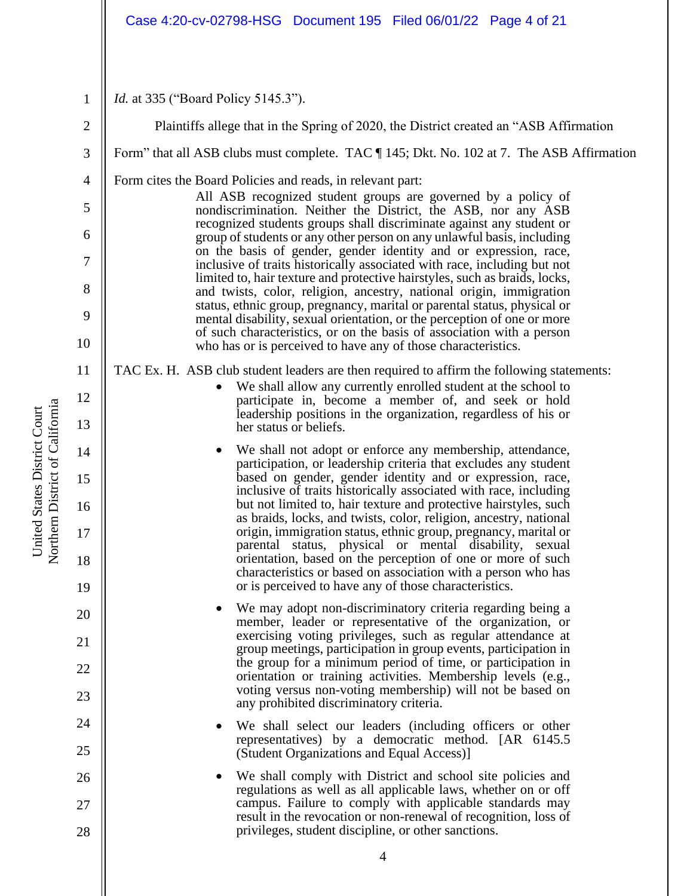## Case 4:20-cv-02798-HSG Document 195 Filed 06/01/22 Page 4 of 21

1 *Id.* at 335 ("Board Policy 5145.3").

2 3 4 5 6 7 8 9 10 11 12 13 14 15 16 17 18 19 20 21 22 23 24 25 26 27 28 Plaintiffs allege that in the Spring of 2020, the District created an "ASB Affirmation Form" that all ASB clubs must complete. TAC ¶ 145; Dkt. No. 102 at 7. The ASB Affirmation Form cites the Board Policies and reads, in relevant part: All ASB recognized student groups are governed by a policy of nondiscrimination. Neither the District, the ASB, nor any ASB recognized students groups shall discriminate against any student or group of students or any other person on any unlawful basis, including on the basis of gender, gender identity and or expression, race, inclusive of traits historically associated with race, including but not limited to, hair texture and protective hairstyles, such as braids, locks, and twists, color, religion, ancestry, national origin, immigration status, ethnic group, pregnancy, marital or parental status, physical or mental disability, sexual orientation, or the perception of one or more of such characteristics, or on the basis of association with a person who has or is perceived to have any of those characteristics. TAC Ex. H. ASB club student leaders are then required to affirm the following statements: We shall allow any currently enrolled student at the school to participate in, become a member of, and seek or hold leadership positions in the organization, regardless of his or her status or beliefs. We shall not adopt or enforce any membership, attendance, participation, or leadership criteria that excludes any student based on gender, gender identity and or expression, race, inclusive of traits historically associated with race, including but not limited to, hair texture and protective hairstyles, such as braids, locks, and twists, color, religion, ancestry, national origin, immigration status, ethnic group, pregnancy, marital or parental status, physical or mental disability, sexual orientation, based on the perception of one or more of such characteristics or based on association with a person who has or is perceived to have any of those characteristics. We may adopt non-discriminatory criteria regarding being a member, leader or representative of the organization, or exercising voting privileges, such as regular attendance at group meetings, participation in group events, participation in the group for a minimum period of time, or participation in orientation or training activities. Membership levels (e.g., voting versus non-voting membership) will not be based on any prohibited discriminatory criteria. We shall select our leaders (including officers or other representatives) by a democratic method. [AR 6145.5 (Student Organizations and Equal Access)] We shall comply with District and school site policies and regulations as well as all applicable laws, whether on or off campus. Failure to comply with applicable standards may result in the revocation or non-renewal of recognition, loss of privileges, student discipline, or other sanctions.

Northern District of California Northern District of California United States District Court United States District Court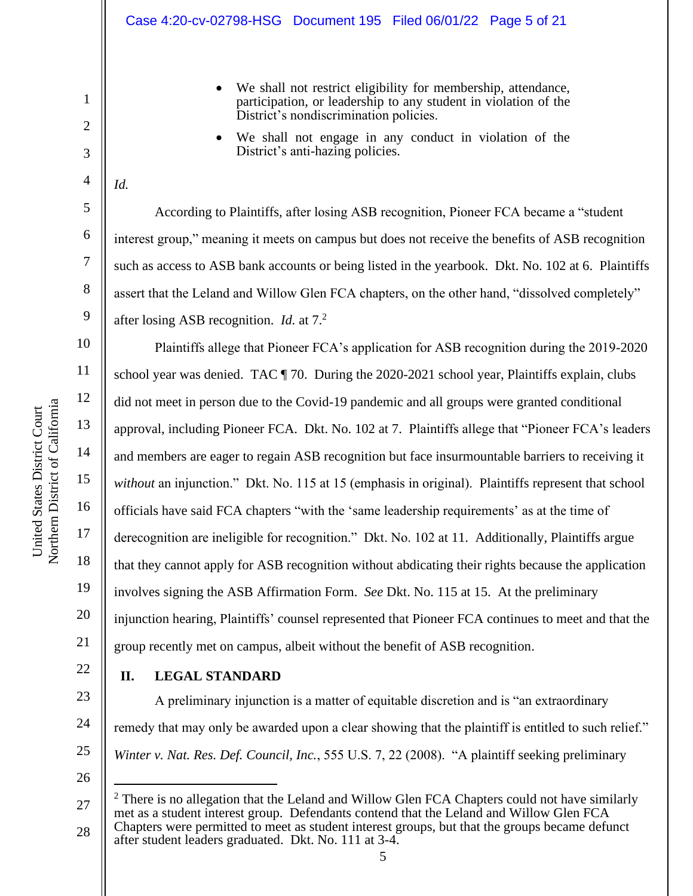- We shall not restrict eligibility for membership, attendance, participation, or leadership to any student in violation of the District's nondiscrimination policies.
- We shall not engage in any conduct in violation of the District's anti-hazing policies.
- *Id.*

2

3

4

5

6

7

8

9

10

11

12

13

14

15

16

17

18

19

20

21

22

23

24

25

According to Plaintiffs, after losing ASB recognition, Pioneer FCA became a "student interest group," meaning it meets on campus but does not receive the benefits of ASB recognition such as access to ASB bank accounts or being listed in the yearbook. Dkt. No. 102 at 6. Plaintiffs assert that the Leland and Willow Glen FCA chapters, on the other hand, "dissolved completely" after losing ASB recognition. *Id.* at 7.<sup>2</sup>

Plaintiffs allege that Pioneer FCA's application for ASB recognition during the 2019-2020 school year was denied. TAC  $\P$  70. During the 2020-2021 school year, Plaintiffs explain, clubs did not meet in person due to the Covid-19 pandemic and all groups were granted conditional approval, including Pioneer FCA. Dkt. No. 102 at 7. Plaintiffs allege that "Pioneer FCA's leaders and members are eager to regain ASB recognition but face insurmountable barriers to receiving it *without* an injunction." Dkt. No. 115 at 15 (emphasis in original). Plaintiffs represent that school officials have said FCA chapters "with the 'same leadership requirements' as at the time of derecognition are ineligible for recognition." Dkt. No. 102 at 11. Additionally, Plaintiffs argue that they cannot apply for ASB recognition without abdicating their rights because the application involves signing the ASB Affirmation Form. *See* Dkt. No. 115 at 15. At the preliminary injunction hearing, Plaintiffs' counsel represented that Pioneer FCA continues to meet and that the group recently met on campus, albeit without the benefit of ASB recognition.

**II. LEGAL STANDARD**

A preliminary injunction is a matter of equitable discretion and is "an extraordinary remedy that may only be awarded upon a clear showing that the plaintiff is entitled to such relief." *Winter v. Nat. Res. Def. Council, Inc.*, 555 U.S. 7, 22 (2008). "A plaintiff seeking preliminary

<sup>27</sup> 28  $2$  There is no allegation that the Leland and Willow Glen FCA Chapters could not have similarly met as a student interest group. Defendants contend that the Leland and Willow Glen FCA Chapters were permitted to meet as student interest groups, but that the groups became defunct after student leaders graduated. Dkt. No. 111 at 3-4.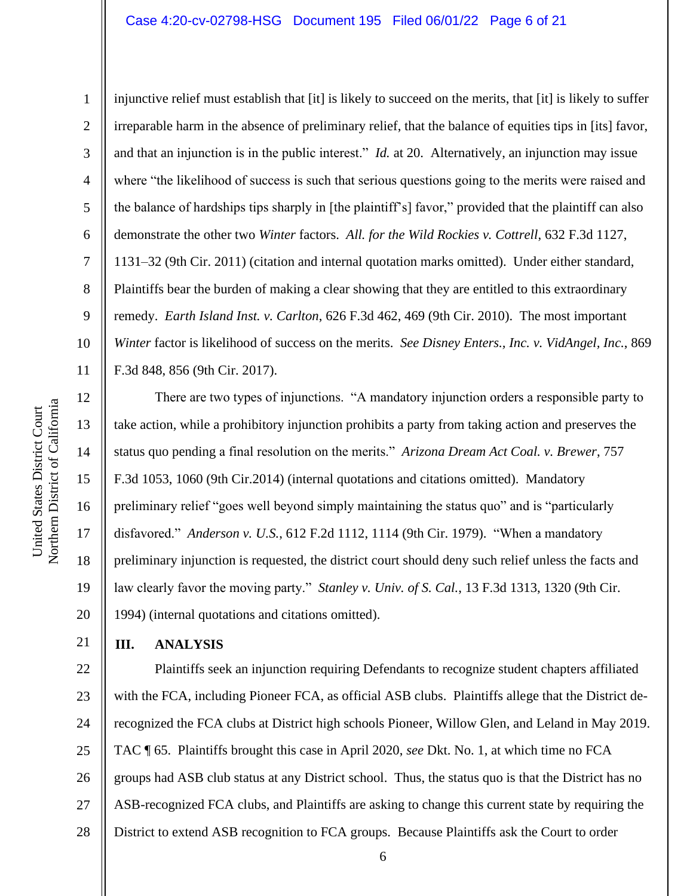2

3

4

5

6

7

8

9

16

United States District Court

Northern District of California United States District Court

17

18

19

20

21

injunctive relief must establish that [it] is likely to succeed on the merits, that [it] is likely to suffer irreparable harm in the absence of preliminary relief, that the balance of equities tips in [its] favor, and that an injunction is in the public interest." *Id.* at 20. Alternatively, an injunction may issue where "the likelihood of success is such that serious questions going to the merits were raised and the balance of hardships tips sharply in [the plaintiff's] favor," provided that the plaintiff can also demonstrate the other two *Winter* factors. *All. for the Wild Rockies v. Cottrell*, 632 F.3d 1127, 1131–32 (9th Cir. 2011) (citation and internal quotation marks omitted). Under either standard, Plaintiffs bear the burden of making a clear showing that they are entitled to this extraordinary remedy. *Earth Island Inst. v. Carlton*, 626 F.3d 462, 469 (9th Cir. 2010). The most important *Winter* factor is likelihood of success on the merits. *See Disney Enters., Inc. v. VidAngel, Inc.*, 869 F.3d 848, 856 (9th Cir. 2017).

There are two types of injunctions. "A mandatory injunction orders a responsible party to take action, while a prohibitory injunction prohibits a party from taking action and preserves the status quo pending a final resolution on the merits." *Arizona Dream Act Coal. v. Brewer*, 757 F.3d 1053, 1060 (9th Cir.2014) (internal quotations and citations omitted). Mandatory preliminary relief "goes well beyond simply maintaining the status quo" and is "particularly disfavored." *Anderson v. U.S.*, 612 F.2d 1112, 1114 (9th Cir. 1979). "When a mandatory preliminary injunction is requested, the district court should deny such relief unless the facts and law clearly favor the moving party." *Stanley v. Univ. of S. Cal.*, 13 F.3d 1313, 1320 (9th Cir. 1994) (internal quotations and citations omitted).

**III. ANALYSIS**

22 23 24 25 26 27 28 Plaintiffs seek an injunction requiring Defendants to recognize student chapters affiliated with the FCA, including Pioneer FCA, as official ASB clubs. Plaintiffs allege that the District derecognized the FCA clubs at District high schools Pioneer, Willow Glen, and Leland in May 2019. TAC ¶ 65. Plaintiffs brought this case in April 2020, *see* Dkt. No. 1, at which time no FCA groups had ASB club status at any District school. Thus, the status quo is that the District has no ASB-recognized FCA clubs, and Plaintiffs are asking to change this current state by requiring the District to extend ASB recognition to FCA groups. Because Plaintiffs ask the Court to order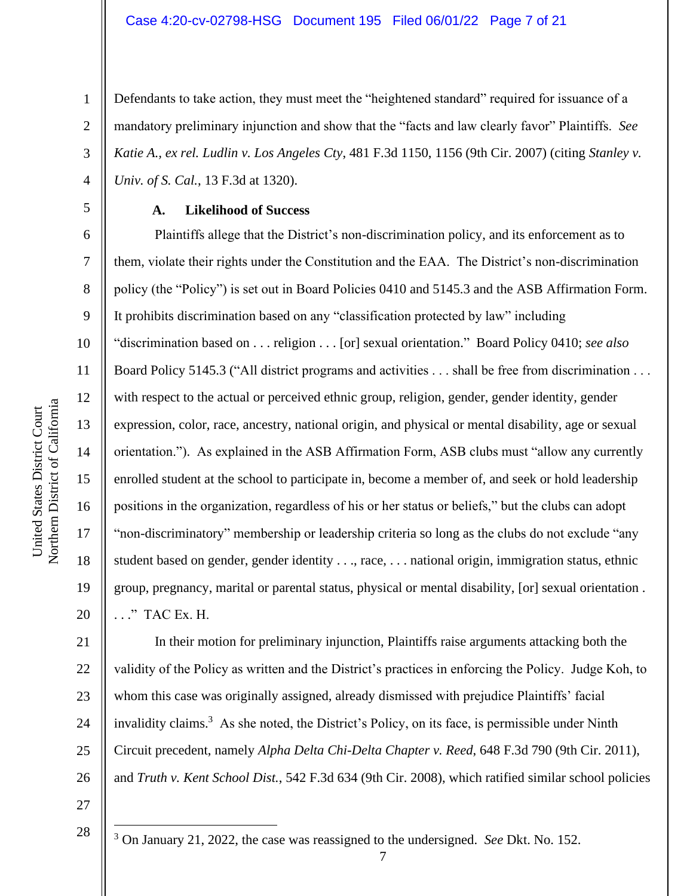Defendants to take action, they must meet the "heightened standard" required for issuance of a mandatory preliminary injunction and show that the "facts and law clearly favor" Plaintiffs. *See Katie A., ex rel. Ludlin v. Los Angeles Cty*, 481 F.3d 1150, 1156 (9th Cir. 2007) (citing *Stanley v. Univ. of S. Cal.*, 13 F.3d at 1320).

#### **A. Likelihood of Success**

Plaintiffs allege that the District's non-discrimination policy, and its enforcement as to them, violate their rights under the Constitution and the EAA. The District's non-discrimination policy (the "Policy") is set out in Board Policies 0410 and 5145.3 and the ASB Affirmation Form. It prohibits discrimination based on any "classification protected by law" including "discrimination based on . . . religion . . . [or] sexual orientation." Board Policy 0410; *see also*  Board Policy 5145.3 ("All district programs and activities . . . shall be free from discrimination . . . with respect to the actual or perceived ethnic group, religion, gender, gender identity, gender expression, color, race, ancestry, national origin, and physical or mental disability, age or sexual orientation."). As explained in the ASB Affirmation Form, ASB clubs must "allow any currently enrolled student at the school to participate in, become a member of, and seek or hold leadership positions in the organization, regardless of his or her status or beliefs," but the clubs can adopt "non-discriminatory" membership or leadership criteria so long as the clubs do not exclude "any student based on gender, gender identity . . ., race, . . . national origin, immigration status, ethnic group, pregnancy, marital or parental status, physical or mental disability, [or] sexual orientation . . . ." TAC Ex. H.

21 22 23 24 25 26 In their motion for preliminary injunction, Plaintiffs raise arguments attacking both the validity of the Policy as written and the District's practices in enforcing the Policy. Judge Koh, to whom this case was originally assigned, already dismissed with prejudice Plaintiffs' facial invalidity claims.<sup>3</sup> As she noted, the District's Policy, on its face, is permissible under Ninth Circuit precedent, namely *Alpha Delta Chi-Delta Chapter v. Reed*, 648 F.3d 790 (9th Cir. 2011), and *Truth v. Kent School Dist.*, 542 F.3d 634 (9th Cir. 2008), which ratified similar school policies

27

<sup>3</sup> On January 21, 2022, the case was reassigned to the undersigned. *See* Dkt. No. 152.

1

2

3

4

5

6

7

8

9

10

11

12

13

14

15

16

17

18

19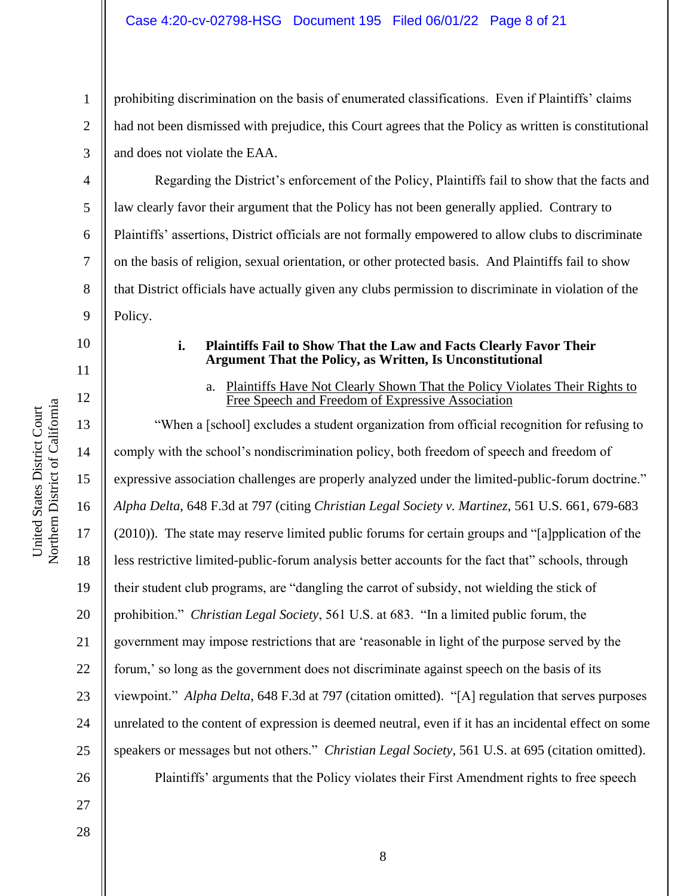prohibiting discrimination on the basis of enumerated classifications. Even if Plaintiffs' claims had not been dismissed with prejudice, this Court agrees that the Policy as written is constitutional and does not violate the EAA.

Regarding the District's enforcement of the Policy, Plaintiffs fail to show that the facts and law clearly favor their argument that the Policy has not been generally applied. Contrary to Plaintiffs' assertions, District officials are not formally empowered to allow clubs to discriminate on the basis of religion, sexual orientation, or other protected basis. And Plaintiffs fail to show that District officials have actually given any clubs permission to discriminate in violation of the Policy.

#### **i. Plaintiffs Fail to Show That the Law and Facts Clearly Favor Their Argument That the Policy, as Written, Is Unconstitutional**

#### a. Plaintiffs Have Not Clearly Shown That the Policy Violates Their Rights to Free Speech and Freedom of Expressive Association

"When a [school] excludes a student organization from official recognition for refusing to comply with the school's nondiscrimination policy, both freedom of speech and freedom of expressive association challenges are properly analyzed under the limited-public-forum doctrine." *Alpha Delta*, 648 F.3d at 797 (citing *Christian Legal Society v. Martinez*, 561 U.S. 661, 679-683 (2010)). The state may reserve limited public forums for certain groups and "[a]pplication of the less restrictive limited-public-forum analysis better accounts for the fact that" schools, through their student club programs, are "dangling the carrot of subsidy, not wielding the stick of prohibition." *Christian Legal Society*, 561 U.S. at 683. "In a limited public forum, the government may impose restrictions that are 'reasonable in light of the purpose served by the forum,' so long as the government does not discriminate against speech on the basis of its viewpoint." *Alpha Delta*, 648 F.3d at 797 (citation omitted). "[A] regulation that serves purposes unrelated to the content of expression is deemed neutral, even if it has an incidental effect on some speakers or messages but not others." *Christian Legal Society*, 561 U.S. at 695 (citation omitted). Plaintiffs' arguments that the Policy violates their First Amendment rights to free speech

1

2

3

4

5

6

7

8

9

10

11

12

13

14

15

16

17

18

19

20

21

22

23

24

25

26

27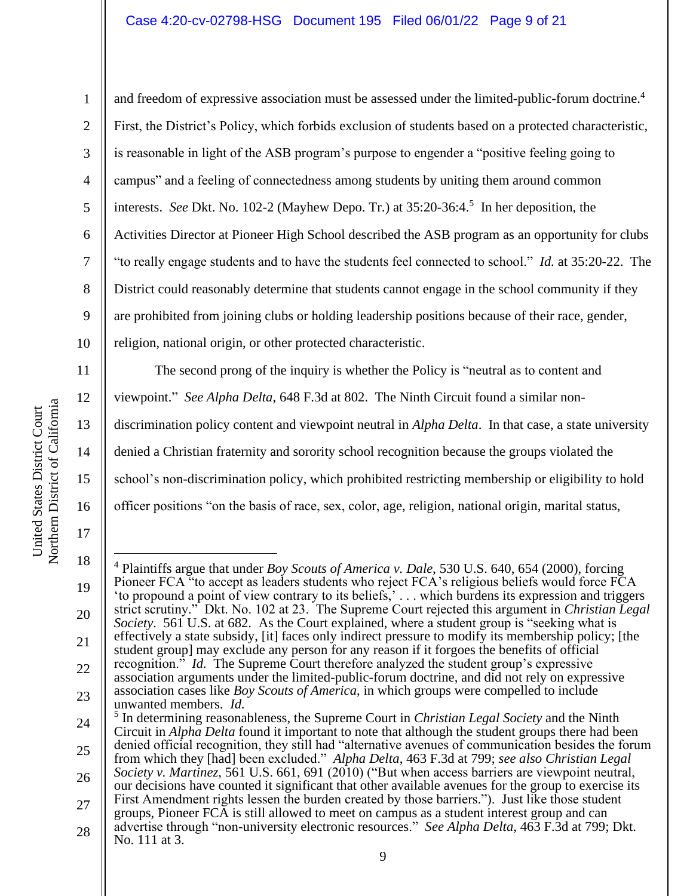#### Case 4:20-cv-02798-HSG Document 195 Filed 06/01/22 Page 9 of 21

13

14

16

17

1 2 3 4 5 6 7 8 9 10 11 and freedom of expressive association must be assessed under the limited-public-forum doctrine.<sup>4</sup> First, the District's Policy, which forbids exclusion of students based on a protected characteristic, is reasonable in light of the ASB program's purpose to engender a "positive feeling going to campus" and a feeling of connectedness among students by uniting them around common interests. *See* Dkt. No. 102-2 (Mayhew Depo. Tr.) at 35:20-36:4.<sup>5</sup> In her deposition, the Activities Director at Pioneer High School described the ASB program as an opportunity for clubs "to really engage students and to have the students feel connected to school." *Id.* at 35:20-22. The District could reasonably determine that students cannot engage in the school community if they are prohibited from joining clubs or holding leadership positions because of their race, gender, religion, national origin, or other protected characteristic. The second prong of the inquiry is whether the Policy is "neutral as to content and

12 viewpoint." *See Alpha Delta*, 648 F.3d at 802. The Ninth Circuit found a similar non-

discrimination policy content and viewpoint neutral in *Alpha Delta*. In that case, a state university

denied a Christian fraternity and sorority school recognition because the groups violated the

15 school's non-discrimination policy, which prohibited restricting membership or eligibility to hold

officer positions "on the basis of race, sex, color, age, religion, national origin, marital status,

<sup>18</sup> 19 20 21 22 23 24 25 26 27 <sup>4</sup> Plaintiffs argue that under *Boy Scouts of America v. Dale*, 530 U.S. 640, 654 (2000), forcing Pioneer FCA "to accept as leaders students who reject FCA's religious beliefs would force FCA 'to propound a point of view contrary to its beliefs,' . . . which burdens its expression and triggers strict scrutiny." Dkt. No. 102 at 23. The Supreme Court rejected this argument in *Christian Legal Society*. 561 U.S. at 682. As the Court explained, where a student group is "seeking what is effectively a state subsidy, [it] faces only indirect pressure to modify its membership policy; [the student group] may exclude any person for any reason if it forgoes the benefits of official recognition.<sup>"</sup> *Id.* The Supreme Court therefore analyzed the student group's expressive association arguments under the limited-public-forum doctrine, and did not rely on expressive association cases like *Boy Scouts of America*, in which groups were compelled to include unwanted members. *Id.* 5 In determining reasonableness, the Supreme Court in *Christian Legal Society* and the Ninth Circuit in *Alpha Delta* found it important to note that although the student groups there had been denied official recognition, they still had "alternative avenues of communication besides the forum from which they [had] been excluded." *Alpha Delta*, 463 F.3d at 799; *see also Christian Legal Society v. Martinez*, 561 U.S. 661, 691 (2010) ("But when access barriers are viewpoint neutral, our decisions have counted it significant that other available avenues for the group to exercise its First Amendment rights lessen the burden created by those barriers."). Just like those student groups, Pioneer FCA is still allowed to meet on campus as a student interest group and can advertise through "non-university electronic resources." *See Alpha Delta*, 463 F.3d at 799; Dkt.

<sup>28</sup> No. 111 at 3.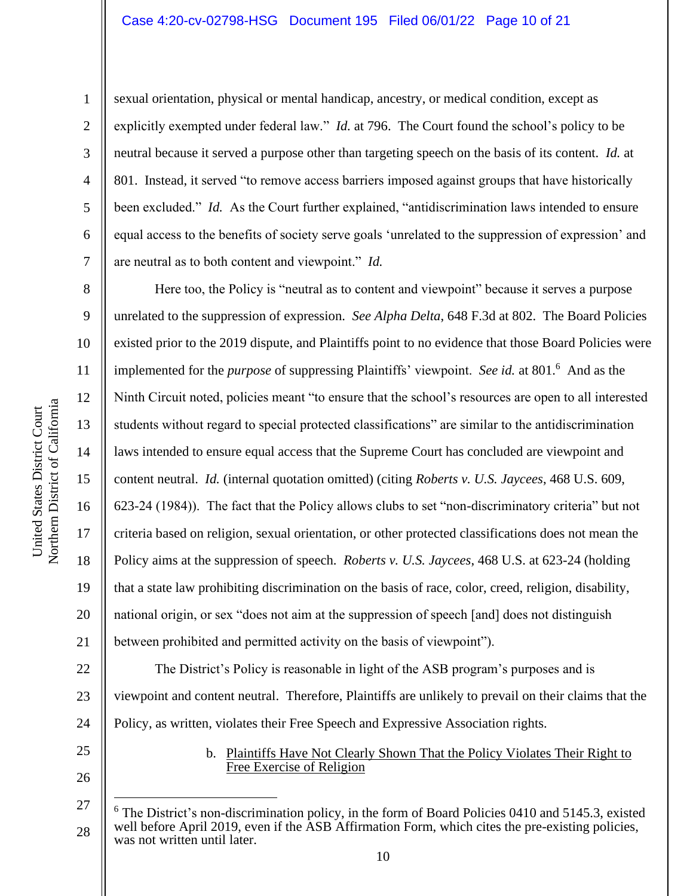2

3

4

5

6

7

8

9

10

11

12

13

14

15

16

17

18

19

20

21

sexual orientation, physical or mental handicap, ancestry, or medical condition, except as explicitly exempted under federal law." *Id.* at 796. The Court found the school's policy to be neutral because it served a purpose other than targeting speech on the basis of its content. *Id.* at 801. Instead, it served "to remove access barriers imposed against groups that have historically been excluded." *Id.* As the Court further explained, "antidiscrimination laws intended to ensure equal access to the benefits of society serve goals 'unrelated to the suppression of expression' and are neutral as to both content and viewpoint." *Id.*

Here too, the Policy is "neutral as to content and viewpoint" because it serves a purpose unrelated to the suppression of expression. *See Alpha Delta*, 648 F.3d at 802. The Board Policies existed prior to the 2019 dispute, and Plaintiffs point to no evidence that those Board Policies were implemented for the *purpose* of suppressing Plaintiffs' viewpoint. *See id.* at 801.<sup>6</sup> And as the Ninth Circuit noted, policies meant "to ensure that the school's resources are open to all interested students without regard to special protected classifications" are similar to the antidiscrimination laws intended to ensure equal access that the Supreme Court has concluded are viewpoint and content neutral. *Id.* (internal quotation omitted) (citing *Roberts v. U.S. Jaycees*, 468 U.S. 609, 623-24 (1984)). The fact that the Policy allows clubs to set "non-discriminatory criteria" but not criteria based on religion, sexual orientation, or other protected classifications does not mean the Policy aims at the suppression of speech. *Roberts v. U.S. Jaycees*, 468 U.S. at 623-24 (holding that a state law prohibiting discrimination on the basis of race, color, creed, religion, disability, national origin, or sex "does not aim at the suppression of speech [and] does not distinguish between prohibited and permitted activity on the basis of viewpoint").

22 23 24 The District's Policy is reasonable in light of the ASB program's purposes and is viewpoint and content neutral. Therefore, Plaintiffs are unlikely to prevail on their claims that the Policy, as written, violates their Free Speech and Expressive Association rights.

25 26

#### b. Plaintiffs Have Not Clearly Shown That the Policy Violates Their Right to Free Exercise of Religion

<sup>27</sup> 28 The District's non-discrimination policy, in the form of Board Policies 0410 and 5145.3, existed well before April 2019, even if the ASB Affirmation Form, which cites the pre-existing policies, was not written until later.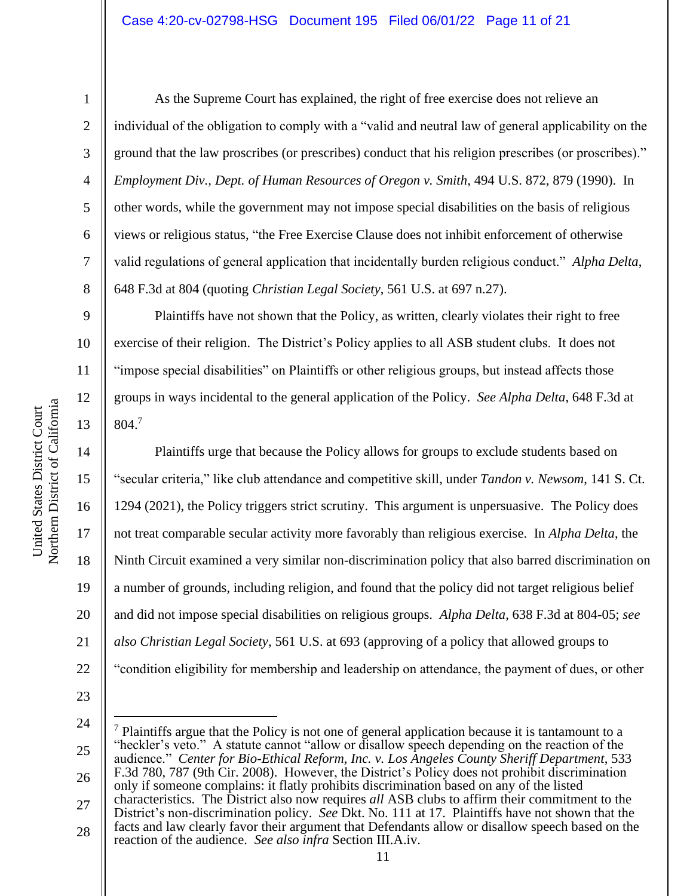2

3

4

5

6

7

8

9

10

11

12

13

14

15

16

17

18

19

20

21

22

As the Supreme Court has explained, the right of free exercise does not relieve an individual of the obligation to comply with a "valid and neutral law of general applicability on the ground that the law proscribes (or prescribes) conduct that his religion prescribes (or proscribes)." *Employment Div., Dept. of Human Resources of Oregon v. Smith*, 494 U.S. 872, 879 (1990). In other words, while the government may not impose special disabilities on the basis of religious views or religious status, "the Free Exercise Clause does not inhibit enforcement of otherwise valid regulations of general application that incidentally burden religious conduct." *Alpha Delta*, 648 F.3d at 804 (quoting *Christian Legal Society*, 561 U.S. at 697 n.27).

Plaintiffs have not shown that the Policy, as written, clearly violates their right to free exercise of their religion. The District's Policy applies to all ASB student clubs. It does not "impose special disabilities" on Plaintiffs or other religious groups, but instead affects those groups in ways incidental to the general application of the Policy. *See Alpha Delta*, 648 F.3d at 804.<sup>7</sup>

Plaintiffs urge that because the Policy allows for groups to exclude students based on "secular criteria," like club attendance and competitive skill, under *Tandon v. Newsom*, 141 S. Ct. 1294 (2021), the Policy triggers strict scrutiny. This argument is unpersuasive. The Policy does not treat comparable secular activity more favorably than religious exercise. In *Alpha Delta*, the Ninth Circuit examined a very similar non-discrimination policy that also barred discrimination on a number of grounds, including religion, and found that the policy did not target religious belief and did not impose special disabilities on religious groups. *Alpha Delta*, 638 F.3d at 804-05; *see also Christian Legal Society*, 561 U.S. at 693 (approving of a policy that allowed groups to "condition eligibility for membership and leadership on attendance, the payment of dues, or other

23

24 25

26

<sup>7</sup> Plaintiffs argue that the Policy is not one of general application because it is tantamount to a "heckler's veto." A statute cannot "allow or disallow speech depending on the reaction of the audience." *Center for Bio-Ethical Reform, Inc. v. Los Angeles County Sheriff Department*, 533 F.3d 780, 787 (9th Cir. 2008). However, the District's Policy does not prohibit discrimination only if someone complains: it flatly prohibits discrimination based on any of the listed

28 reaction of the audience. *See also infra* Section III.A.iv.

<sup>27</sup> characteristics. The District also now requires *all* ASB clubs to affirm their commitment to the District's non-discrimination policy. *See* Dkt. No. 111 at 17. Plaintiffs have not shown that the facts and law clearly favor their argument that Defendants allow or disallow speech based on the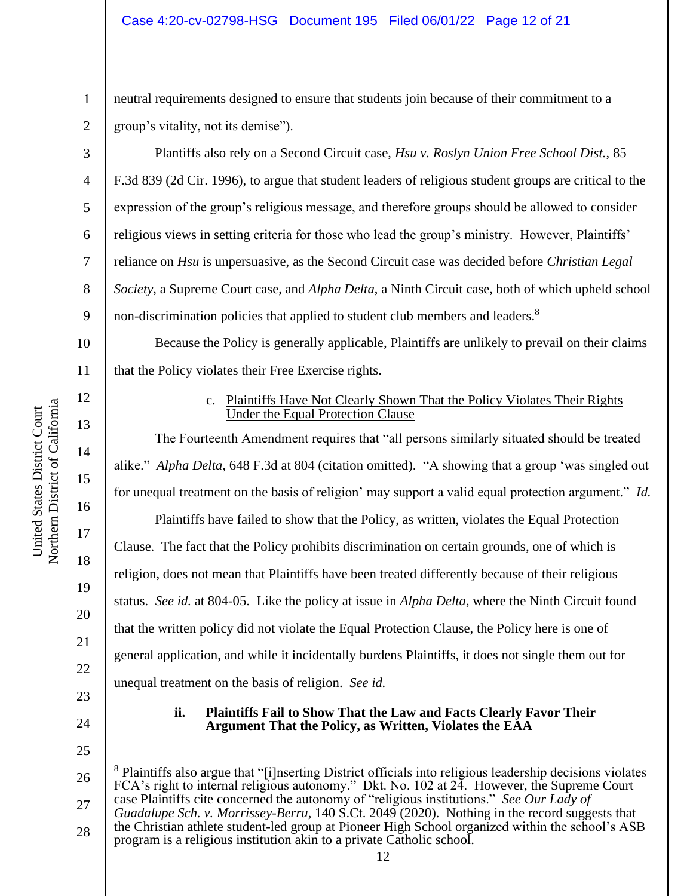neutral requirements designed to ensure that students join because of their commitment to a group's vitality, not its demise").

Plantiffs also rely on a Second Circuit case, *Hsu v. Roslyn Union Free School Dist.*, 85 F.3d 839 (2d Cir. 1996), to argue that student leaders of religious student groups are critical to the expression of the group's religious message, and therefore groups should be allowed to consider religious views in setting criteria for those who lead the group's ministry. However, Plaintiffs' reliance on *Hsu* is unpersuasive, as the Second Circuit case was decided before *Christian Legal Society*, a Supreme Court case, and *Alpha Delta*, a Ninth Circuit case, both of which upheld school non-discrimination policies that applied to student club members and leaders.<sup>8</sup>

10 11 Because the Policy is generally applicable, Plaintiffs are unlikely to prevail on their claims that the Policy violates their Free Exercise rights.

#### c. Plaintiffs Have Not Clearly Shown That the Policy Violates Their Rights Under the Equal Protection Clause

The Fourteenth Amendment requires that "all persons similarly situated should be treated alike." *Alpha Delta*, 648 F.3d at 804 (citation omitted). "A showing that a group 'was singled out for unequal treatment on the basis of religion' may support a valid equal protection argument." *Id.*

Plaintiffs have failed to show that the Policy, as written, violates the Equal Protection Clause. The fact that the Policy prohibits discrimination on certain grounds, one of which is religion, does not mean that Plaintiffs have been treated differently because of their religious status. *See id.* at 804-05. Like the policy at issue in *Alpha Delta*, where the Ninth Circuit found that the written policy did not violate the Equal Protection Clause, the Policy here is one of general application, and while it incidentally burdens Plaintiffs, it does not single them out for unequal treatment on the basis of religion. *See id.*

> **ii. Plaintiffs Fail to Show That the Law and Facts Clearly Favor Their Argument That the Policy, as Written, Violates the EAA**

1

2

3

4

5

6

7

8

9

12

13

14

15

16

17

18

19

20

21

22

<sup>26</sup> 27 <sup>8</sup> Plaintiffs also argue that "[i]nserting District officials into religious leadership decisions violates FCA's right to internal religious autonomy." Dkt. No. 102 at 24. However, the Supreme Court case Plaintiffs cite concerned the autonomy of "religious institutions." *See Our Lady of* 

<sup>28</sup> *Guadalupe Sch. v. Morrissey-Berru*, 140 S.Ct. 2049 (2020). Nothing in the record suggests that the Christian athlete student-led group at Pioneer High School organized within the school's ASB program is a religious institution akin to a private Catholic school.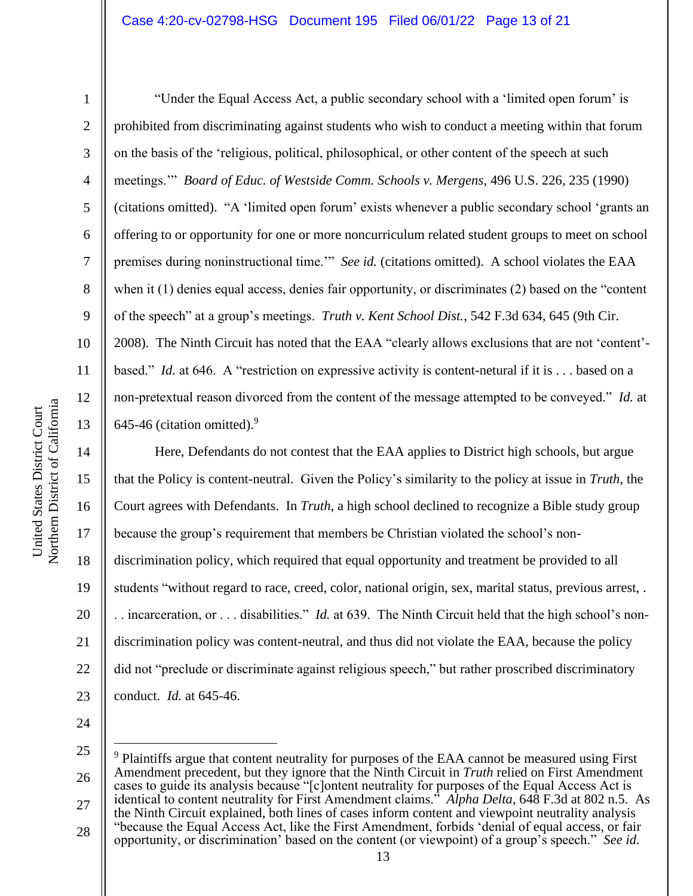2 3 4 5 6 7 8 9 10 11 12 13 "Under the Equal Access Act, a public secondary school with a 'limited open forum' is prohibited from discriminating against students who wish to conduct a meeting within that forum on the basis of the 'religious, political, philosophical, or other content of the speech at such meetings.'" *Board of Educ. of Westside Comm. Schools v. Mergens*, 496 U.S. 226, 235 (1990) (citations omitted). "A 'limited open forum' exists whenever a public secondary school 'grants an offering to or opportunity for one or more noncurriculum related student groups to meet on school premises during noninstructional time.'" *See id.* (citations omitted). A school violates the EAA when it (1) denies equal access, denies fair opportunity, or discriminates (2) based on the "content of the speech" at a group's meetings. *Truth v. Kent School Dist.*, 542 F.3d 634, 645 (9th Cir. 2008). The Ninth Circuit has noted that the EAA "clearly allows exclusions that are not 'content' based." *Id.* at 646. A "restriction on expressive activity is content-netural if it is . . . based on a non-pretextual reason divorced from the content of the message attempted to be conveyed." *Id.* at 645-46 (citation omitted). $9$ 

14 15 16 17 18 19 20 21 22 23 Here, Defendants do not contest that the EAA applies to District high schools, but argue that the Policy is content-neutral. Given the Policy's similarity to the policy at issue in *Truth*, the Court agrees with Defendants. In *Truth*, a high school declined to recognize a Bible study group because the group's requirement that members be Christian violated the school's nondiscrimination policy, which required that equal opportunity and treatment be provided to all students "without regard to race, creed, color, national origin, sex, marital status, previous arrest, . . . incarceration, or . . . disabilities." *Id.* at 639. The Ninth Circuit held that the high school's nondiscrimination policy was content-neutral, and thus did not violate the EAA, because the policy did not "preclude or discriminate against religious speech," but rather proscribed discriminatory conduct. *Id.* at 645-46.

<sup>25</sup> 26 27 28 <sup>9</sup> Plaintiffs argue that content neutrality for purposes of the EAA cannot be measured using First Amendment precedent, but they ignore that the Ninth Circuit in *Truth* relied on First Amendment cases to guide its analysis because "[c]ontent neutrality for purposes of the Equal Access Act is identical to content neutrality for First Amendment claims." *Alpha Delta*, 648 F.3d at 802 n.5. As the Ninth Circuit explained, both lines of cases inform content and viewpoint neutrality analysis "because the Equal Access Act, like the First Amendment, forbids 'denial of equal access, or fair

opportunity, or discrimination' based on the content (or viewpoint) of a group's speech." *See id.*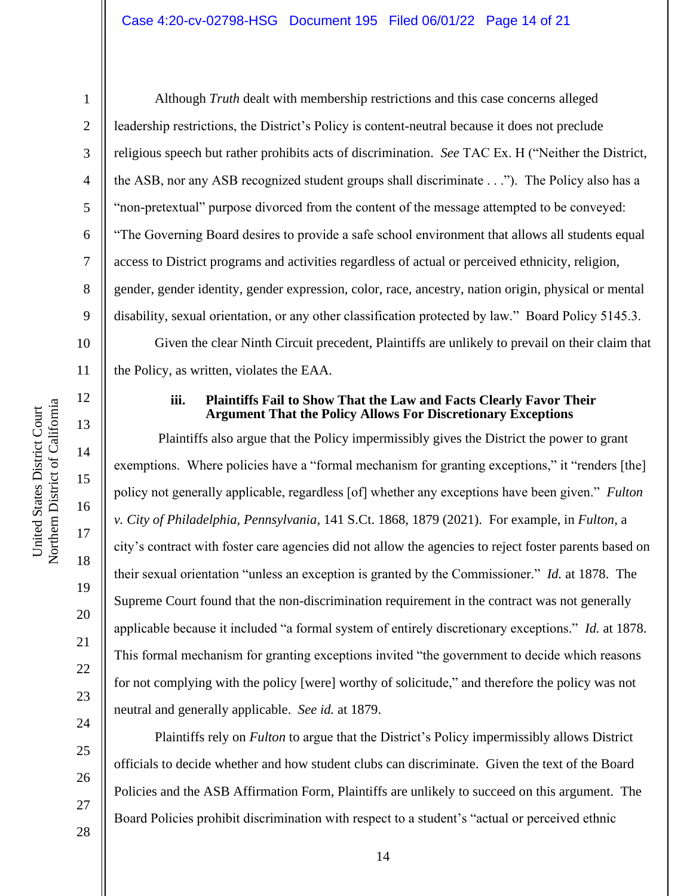2

3

4

5

6

7

8

9

10

11

12

13

14

15

16

17

18

19

20

21

22

23

24

25

26

27

Although *Truth* dealt with membership restrictions and this case concerns alleged leadership restrictions, the District's Policy is content-neutral because it does not preclude religious speech but rather prohibits acts of discrimination. *See* TAC Ex. H ("Neither the District, the ASB, nor any ASB recognized student groups shall discriminate . . ."). The Policy also has a "non-pretextual" purpose divorced from the content of the message attempted to be conveyed: "The Governing Board desires to provide a safe school environment that allows all students equal access to District programs and activities regardless of actual or perceived ethnicity, religion, gender, gender identity, gender expression, color, race, ancestry, nation origin, physical or mental disability, sexual orientation, or any other classification protected by law." Board Policy 5145.3. Given the clear Ninth Circuit precedent, Plaintiffs are unlikely to prevail on their claim that the Policy, as written, violates the EAA.

#### **iii. Plaintiffs Fail to Show That the Law and Facts Clearly Favor Their Argument That the Policy Allows For Discretionary Exceptions**

Plaintiffs also argue that the Policy impermissibly gives the District the power to grant exemptions. Where policies have a "formal mechanism for granting exceptions," it "renders [the] policy not generally applicable, regardless [of] whether any exceptions have been given." *Fulton v. City of Philadelphia, Pennsylvania*, 141 S.Ct. 1868, 1879 (2021). For example, in *Fulton*, a city's contract with foster care agencies did not allow the agencies to reject foster parents based on their sexual orientation "unless an exception is granted by the Commissioner." *Id.* at 1878. The Supreme Court found that the non-discrimination requirement in the contract was not generally applicable because it included "a formal system of entirely discretionary exceptions." *Id.* at 1878. This formal mechanism for granting exceptions invited "the government to decide which reasons for not complying with the policy [were] worthy of solicitude," and therefore the policy was not neutral and generally applicable. *See id.* at 1879.

Plaintiffs rely on *Fulton* to argue that the District's Policy impermissibly allows District officials to decide whether and how student clubs can discriminate. Given the text of the Board Policies and the ASB Affirmation Form, Plaintiffs are unlikely to succeed on this argument. The Board Policies prohibit discrimination with respect to a student's "actual or perceived ethnic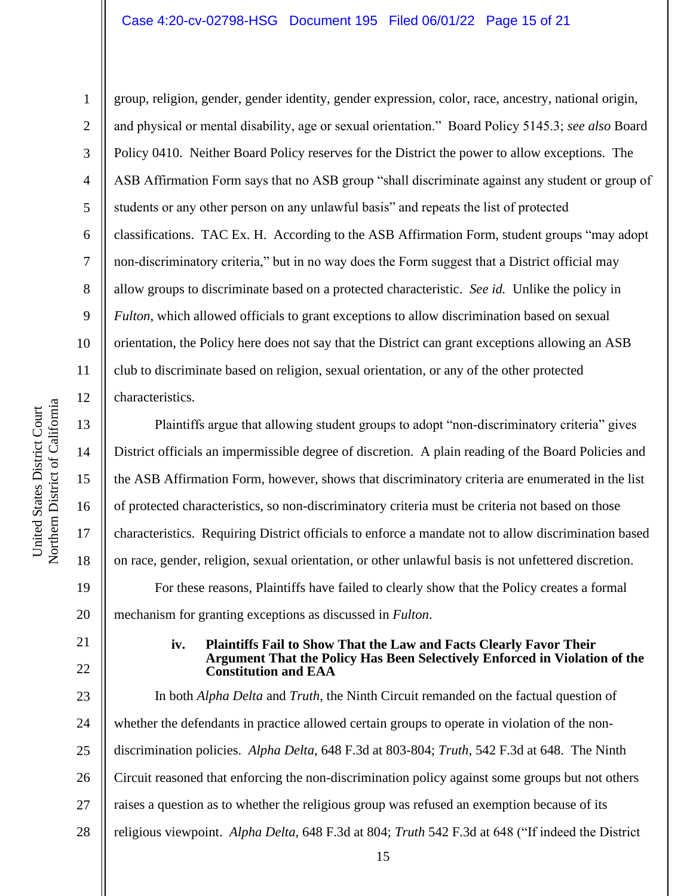1

2

3

4

5

6

8

9

10

11

12

13

14

15

16

17

18

19

20

21

22

group, religion, gender, gender identity, gender expression, color, race, ancestry, national origin, and physical or mental disability, age or sexual orientation." Board Policy 5145.3; *see also* Board Policy 0410. Neither Board Policy reserves for the District the power to allow exceptions. The ASB Affirmation Form says that no ASB group "shall discriminate against any student or group of students or any other person on any unlawful basis" and repeats the list of protected classifications. TAC Ex. H. According to the ASB Affirmation Form, student groups "may adopt non-discriminatory criteria," but in no way does the Form suggest that a District official may allow groups to discriminate based on a protected characteristic. *See id.* Unlike the policy in *Fulton*, which allowed officials to grant exceptions to allow discrimination based on sexual orientation, the Policy here does not say that the District can grant exceptions allowing an ASB club to discriminate based on religion, sexual orientation, or any of the other protected characteristics.

Plaintiffs argue that allowing student groups to adopt "non-discriminatory criteria" gives District officials an impermissible degree of discretion. A plain reading of the Board Policies and the ASB Affirmation Form, however, shows that discriminatory criteria are enumerated in the list of protected characteristics, so non-discriminatory criteria must be criteria not based on those characteristics. Requiring District officials to enforce a mandate not to allow discrimination based on race, gender, religion, sexual orientation, or other unlawful basis is not unfettered discretion. For these reasons, Plaintiffs have failed to clearly show that the Policy creates a formal mechanism for granting exceptions as discussed in *Fulton*.

**iv. Plaintiffs Fail to Show That the Law and Facts Clearly Favor Their Argument That the Policy Has Been Selectively Enforced in Violation of the Constitution and EAA**

23 24 25 26 27 28 In both *Alpha Delta* and *Truth*, the Ninth Circuit remanded on the factual question of whether the defendants in practice allowed certain groups to operate in violation of the nondiscrimination policies. *Alpha Delta*, 648 F.3d at 803-804; *Truth*, 542 F.3d at 648. The Ninth Circuit reasoned that enforcing the non-discrimination policy against some groups but not others raises a question as to whether the religious group was refused an exemption because of its religious viewpoint. *Alpha Delta*, 648 F.3d at 804; *Truth* 542 F.3d at 648 ("If indeed the District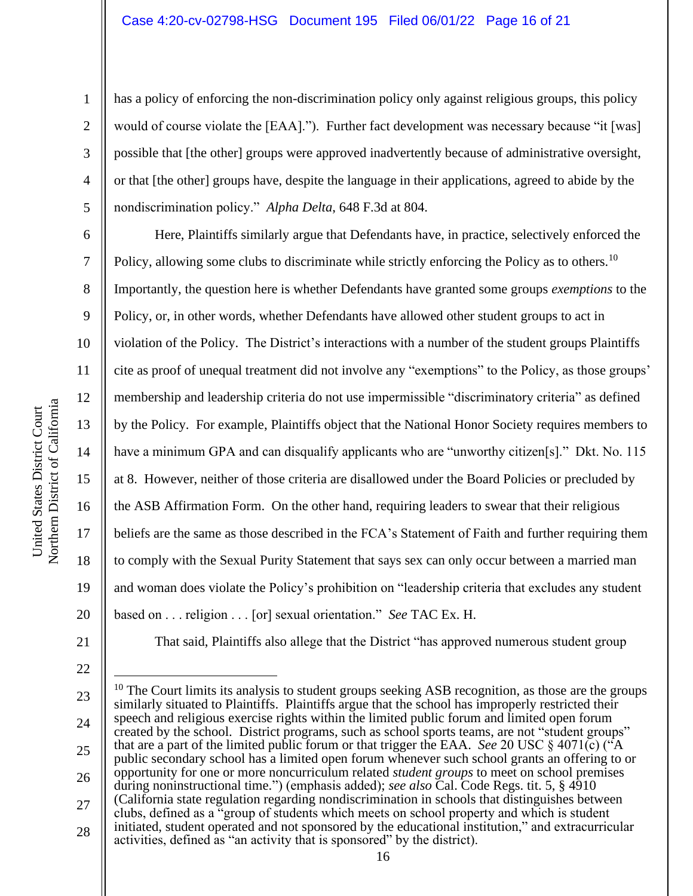has a policy of enforcing the non-discrimination policy only against religious groups, this policy would of course violate the [EAA]."). Further fact development was necessary because "it [was] possible that [the other] groups were approved inadvertently because of administrative oversight, or that [the other] groups have, despite the language in their applications, agreed to abide by the nondiscrimination policy." *Alpha Delta*, 648 F.3d at 804.

Here, Plaintiffs similarly argue that Defendants have, in practice, selectively enforced the Policy, allowing some clubs to discriminate while strictly enforcing the Policy as to others.<sup>10</sup> Importantly, the question here is whether Defendants have granted some groups *exemptions* to the Policy, or, in other words, whether Defendants have allowed other student groups to act in violation of the Policy. The District's interactions with a number of the student groups Plaintiffs cite as proof of unequal treatment did not involve any "exemptions" to the Policy, as those groups' membership and leadership criteria do not use impermissible "discriminatory criteria" as defined by the Policy. For example, Plaintiffs object that the National Honor Society requires members to have a minimum GPA and can disqualify applicants who are "unworthy citizen[s]." Dkt. No. 115 at 8. However, neither of those criteria are disallowed under the Board Policies or precluded by the ASB Affirmation Form. On the other hand, requiring leaders to swear that their religious beliefs are the same as those described in the FCA's Statement of Faith and further requiring them to comply with the Sexual Purity Statement that says sex can only occur between a married man and woman does violate the Policy's prohibition on "leadership criteria that excludes any student based on . . . religion . . . [or] sexual orientation." *See* TAC Ex. H.

21 22

1

2

3

4

5

6

7

8

9

10

11

12

13

14

15

16

17

18

19

20

That said, Plaintiffs also allege that the District "has approved numerous student group

<sup>23</sup> 24 25 26 27 28  $10$  The Court limits its analysis to student groups seeking ASB recognition, as those are the groups similarly situated to Plaintiffs. Plaintiffs argue that the school has improperly restricted their speech and religious exercise rights within the limited public forum and limited open forum created by the school. District programs, such as school sports teams, are not "student groups" that are a part of the limited public forum or that trigger the EAA. *See* 20 USC § 4071(c) ("A public secondary school has a limited open forum whenever such school grants an offering to or opportunity for one or more noncurriculum related *student groups* to meet on school premises during noninstructional time.") (emphasis added); *see also* Cal. Code Regs. tit. 5, § 4910 (California state regulation regarding nondiscrimination in schools that distinguishes between clubs, defined as a "group of students which meets on school property and which is student initiated, student operated and not sponsored by the educational institution," and extracurricular activities, defined as "an activity that is sponsored" by the district).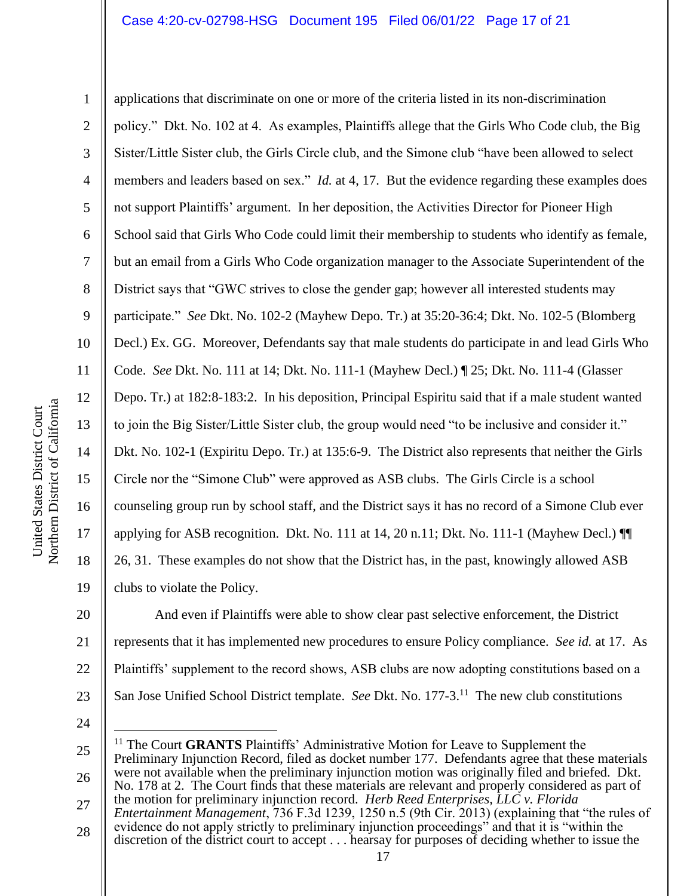applications that discriminate on one or more of the criteria listed in its non-discrimination policy." Dkt. No. 102 at 4. As examples, Plaintiffs allege that the Girls Who Code club, the Big Sister/Little Sister club, the Girls Circle club, and the Simone club "have been allowed to select members and leaders based on sex." *Id.* at 4, 17. But the evidence regarding these examples does not support Plaintiffs' argument. In her deposition, the Activities Director for Pioneer High School said that Girls Who Code could limit their membership to students who identify as female, but an email from a Girls Who Code organization manager to the Associate Superintendent of the District says that "GWC strives to close the gender gap; however all interested students may participate." *See* Dkt. No. 102-2 (Mayhew Depo. Tr.) at 35:20-36:4; Dkt. No. 102-5 (Blomberg Decl.) Ex. GG. Moreover, Defendants say that male students do participate in and lead Girls Who Code. *See* Dkt. No. 111 at 14; Dkt. No. 111-1 (Mayhew Decl.) ¶ 25; Dkt. No. 111-4 (Glasser Depo. Tr.) at 182:8-183:2.In his deposition, Principal Espiritu said that if a male student wanted to join the Big Sister/Little Sister club, the group would need "to be inclusive and consider it." Dkt. No. 102-1 (Expiritu Depo. Tr.) at 135:6-9. The District also represents that neither the Girls Circle nor the "Simone Club" were approved as ASB clubs. The Girls Circle is a school counseling group run by school staff, and the District says it has no record of a Simone Club ever applying for ASB recognition. Dkt. No. 111 at 14, 20 n.11; Dkt. No. 111-1 (Mayhew Decl.) ¶¶ 26, 31. These examples do not show that the District has, in the past, knowingly allowed ASB clubs to violate the Policy.

20 21 22 23 And even if Plaintiffs were able to show clear past selective enforcement, the District represents that it has implemented new procedures to ensure Policy compliance. *See id.* at 17. As Plaintiffs' supplement to the record shows, ASB clubs are now adopting constitutions based on a San Jose Unified School District template. *See* Dkt. No. 177-3.<sup>11</sup> The new club constitutions

24

25 26 <sup>11</sup> The Court **GRANTS** Plaintiffs' Administrative Motion for Leave to Supplement the Preliminary Injunction Record, filed as docket number 177. Defendants agree that these materials were not available when the preliminary injunction motion was originally filed and briefed. Dkt. No. 178 at 2. The Court finds that these materials are relevant and properly considered as part of the motion for preliminary injunction record. *Herb Reed Enterprises, LLC v. Florida* 

- 27 28 *Entertainment Management*, 736 F.3d 1239, 1250 n.5 (9th Cir. 2013) (explaining that "the rules of evidence do not apply strictly to preliminary injunction proceedings" and that it is "within the
- discretion of the district court to accept . . . hearsay for purposes of deciding whether to issue the

1

2

3

4

5

6

7

8

9

10

11

12

13

14

15

16

17

18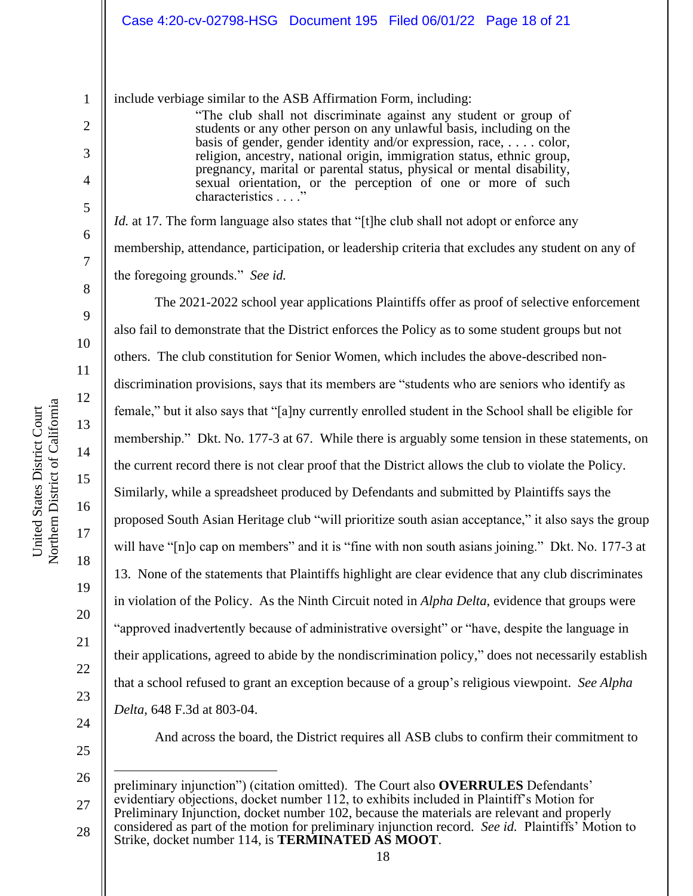include verbiage similar to the ASB Affirmation Form, including:

"The club shall not discriminate against any student or group of students or any other person on any unlawful basis, including on the basis of gender, gender identity and/or expression, race, . . . . color, religion, ancestry, national origin, immigration status, ethnic group, pregnancy, marital or parental status, physical or mental disability, sexual orientation, or the perception of one or more of such characteristics . . . ."

*Id.* at 17. The form language also states that "[t]he club shall not adopt or enforce any membership, attendance, participation, or leadership criteria that excludes any student on any of the foregoing grounds." *See id.*

The 2021-2022 school year applications Plaintiffs offer as proof of selective enforcement also fail to demonstrate that the District enforces the Policy as to some student groups but not others. The club constitution for Senior Women, which includes the above-described nondiscrimination provisions, says that its members are "students who are seniors who identify as female," but it also says that "[a]ny currently enrolled student in the School shall be eligible for membership." Dkt. No. 177-3 at 67. While there is arguably some tension in these statements, on the current record there is not clear proof that the District allows the club to violate the Policy. Similarly, while a spreadsheet produced by Defendants and submitted by Plaintiffs says the proposed South Asian Heritage club "will prioritize south asian acceptance," it also says the group will have "[n]o cap on members" and it is "fine with non south asians joining." Dkt. No. 177-3 at 13. None of the statements that Plaintiffs highlight are clear evidence that any club discriminates in violation of the Policy. As the Ninth Circuit noted in *Alpha Delta*, evidence that groups were "approved inadvertently because of administrative oversight" or "have, despite the language in their applications, agreed to abide by the nondiscrimination policy," does not necessarily establish that a school refused to grant an exception because of a group's religious viewpoint. *See Alpha Delta*, 648 F.3d at 803-04.

24 25

And across the board, the District requires all ASB clubs to confirm their commitment to

26 27 preliminary injunction") (citation omitted). The Court also **OVERRULES** Defendants' evidentiary objections, docket number 112, to exhibits included in Plaintiff's Motion for Preliminary Injunction, docket number 102, because the materials are relevant and properly considered as part of the motion for preliminary injunction record. *See id.* Plaintiffs' Motion to

28 Strike, docket number 114, is **TERMINATED AS MOOT**.

1

2

3

4

5

6

7

8

9

10

11

12

13

14

15

16

17

18

19

20

21

22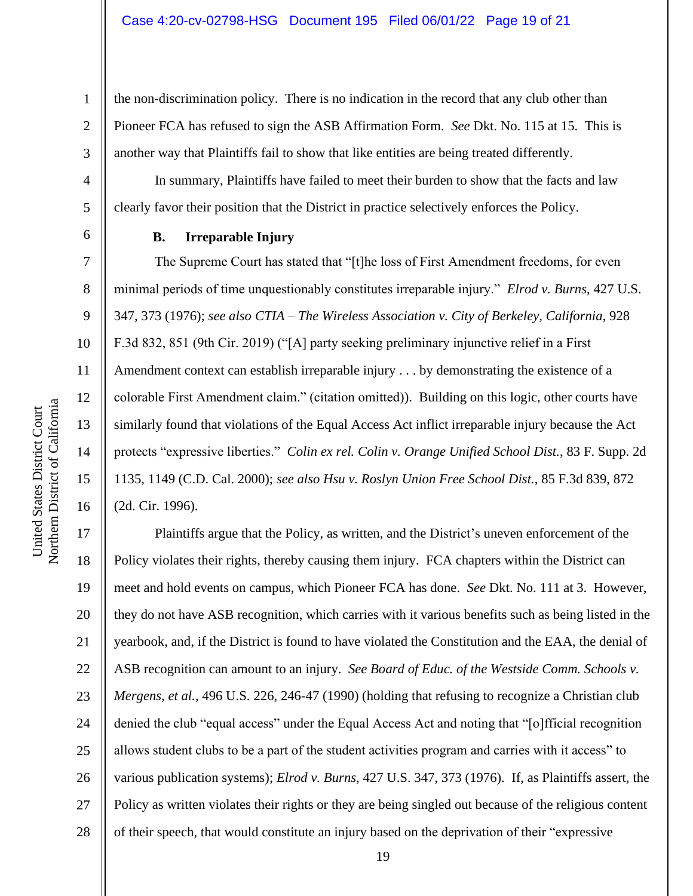the non-discrimination policy. There is no indication in the record that any club other than Pioneer FCA has refused to sign the ASB Affirmation Form. *See* Dkt. No. 115 at 15. This is another way that Plaintiffs fail to show that like entities are being treated differently.

In summary, Plaintiffs have failed to meet their burden to show that the facts and law clearly favor their position that the District in practice selectively enforces the Policy.

1

2

3

4

5

6

7

8

9

10

11

12

13

14

15

16

### **B. Irreparable Injury**

The Supreme Court has stated that "[t]he loss of First Amendment freedoms, for even minimal periods of time unquestionably constitutes irreparable injury." *Elrod v. Burns*, 427 U.S. 347, 373 (1976); *see also CTIA – The Wireless Association v. City of Berkeley, California*, 928 F.3d 832, 851 (9th Cir. 2019) ("[A] party seeking preliminary injunctive relief in a First Amendment context can establish irreparable injury . . . by demonstrating the existence of a colorable First Amendment claim." (citation omitted)). Building on this logic, other courts have similarly found that violations of the Equal Access Act inflict irreparable injury because the Act protects "expressive liberties." *Colin ex rel. Colin v. Orange Unified School Dist.*, 83 F. Supp. 2d 1135, 1149 (C.D. Cal. 2000); *see also Hsu v. Roslyn Union Free School Dist.*, 85 F.3d 839, 872 (2d. Cir. 1996).

17 18 19 20 21 22 23 24 25 26 27 28 Plaintiffs argue that the Policy, as written, and the District's uneven enforcement of the Policy violates their rights, thereby causing them injury. FCA chapters within the District can meet and hold events on campus, which Pioneer FCA has done. *See* Dkt. No. 111 at 3. However, they do not have ASB recognition, which carries with it various benefits such as being listed in the yearbook, and, if the District is found to have violated the Constitution and the EAA, the denial of ASB recognition can amount to an injury. *See Board of Educ. of the Westside Comm. Schools v. Mergens, et al.*, 496 U.S. 226, 246-47 (1990) (holding that refusing to recognize a Christian club denied the club "equal access" under the Equal Access Act and noting that "[o]fficial recognition allows student clubs to be a part of the student activities program and carries with it access" to various publication systems); *Elrod v. Burns*, 427 U.S. 347, 373 (1976). If, as Plaintiffs assert, the Policy as written violates their rights or they are being singled out because of the religious content of their speech, that would constitute an injury based on the deprivation of their "expressive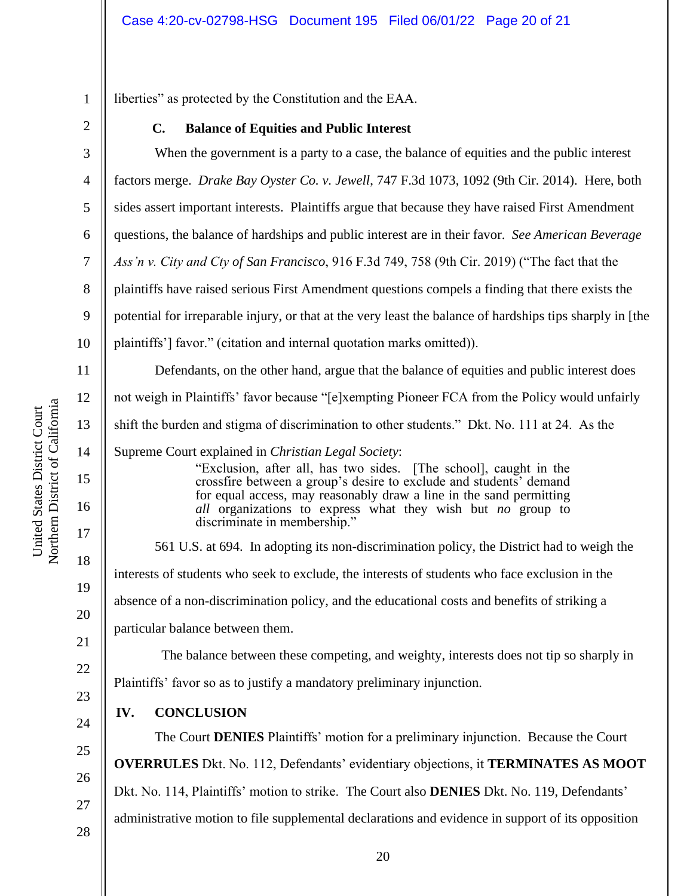liberties" as protected by the Constitution and the EAA.

**C. Balance of Equities and Public Interest**

When the government is a party to a case, the balance of equities and the public interest factors merge. *Drake Bay Oyster Co. v. Jewell*, 747 F.3d 1073, 1092 (9th Cir. 2014). Here, both sides assert important interests. Plaintiffs argue that because they have raised First Amendment questions, the balance of hardships and public interest are in their favor. *See American Beverage Ass'n v. City and Cty of San Francisco*, 916 F.3d 749, 758 (9th Cir. 2019) ("The fact that the plaintiffs have raised serious First Amendment questions compels a finding that there exists the potential for irreparable injury, or that at the very least the balance of hardships tips sharply in [the plaintiffs'] favor." (citation and internal quotation marks omitted)).

Defendants, on the other hand, argue that the balance of equities and public interest does not weigh in Plaintiffs' favor because "[e]xempting Pioneer FCA from the Policy would unfairly shift the burden and stigma of discrimination to other students." Dkt. No. 111 at 24. As the

Supreme Court explained in *Christian Legal Society*:

"Exclusion, after all, has two sides. [The school], caught in the crossfire between a group's desire to exclude and students' demand for equal access, may reasonably draw a line in the sand permitting *all* organizations to express what they wish but *no* group to discriminate in membership."

561 U.S. at 694. In adopting its non-discrimination policy, the District had to weigh the interests of students who seek to exclude, the interests of students who face exclusion in the absence of a non-discrimination policy, and the educational costs and benefits of striking a particular balance between them.

 The balance between these competing, and weighty, interests does not tip so sharply in Plaintiffs' favor so as to justify a mandatory preliminary injunction.

# **IV. CONCLUSION**

The Court **DENIES** Plaintiffs' motion for a preliminary injunction. Because the Court **OVERRULES** Dkt. No. 112, Defendants' evidentiary objections, it **TERMINATES AS MOOT** Dkt. No. 114, Plaintiffs' motion to strike. The Court also **DENIES** Dkt. No. 119, Defendants' administrative motion to file supplemental declarations and evidence in support of its opposition

1

2

3

4

5

6

7

8

9

10

11

12

13

14

15

16

17

18

19

20

21

22

23

24

25

26

27